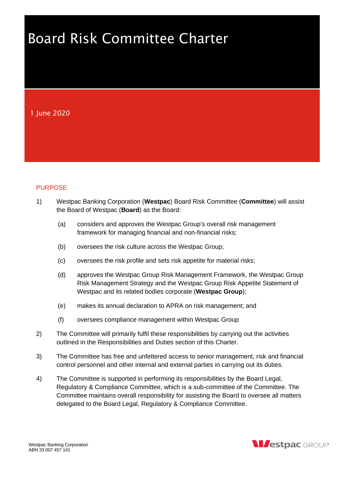# Board Risk Committee Charter

1 June 2020

# **PURPOSE**

- 1) Westpac Banking Corporation (**Westpac**) Board Risk Committee (**Committee**) will assist the Board of Westpac (**Board**) as the Board:
	- (a) considers and approves the Westpac Group's overall risk management framework for managing financial and non-financial risks;
	- (b) oversees the risk culture across the Westpac Group;
	- (c) oversees the risk profile and sets risk appetite for material risks;
	- (d) approves the Westpac Group Risk Management Framework, the Westpac Group Risk Management Strategy and the Westpac Group Risk Appetite Statement of Westpac and its related bodies corporate (**Westpac Group**);
	- (e) makes its annual declaration to APRA on risk management; and
	- (f) oversees compliance management within Westpac Group
- 2) The Committee will primarily fulfil these responsibilities by carrying out the activities outlined in the Responsibilities and Duties section of this Charter.
- 3) The Committee has free and unfettered access to senior management, risk and financial control personnel and other internal and external parties in carrying out its duties.
- 4) The Committee is supported in performing its responsibilities by the Board Legal, Regulatory & Compliance Committee, which is a sub-committee of the Committee. The Committee maintains overall responsibility for assisting the Board to oversee all matters delegated to the Board Legal, Regulatory & Compliance Committee.

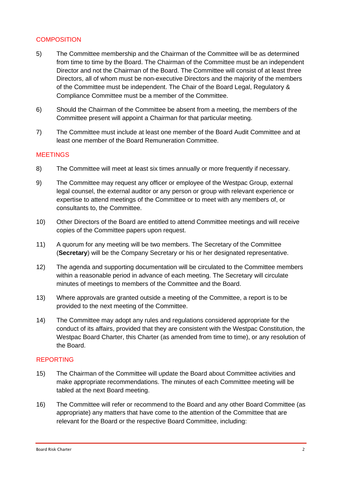## **COMPOSITION**

- 5) The Committee membership and the Chairman of the Committee will be as determined from time to time by the Board. The Chairman of the Committee must be an independent Director and not the Chairman of the Board. The Committee will consist of at least three Directors, all of whom must be non-executive Directors and the majority of the members of the Committee must be independent. The Chair of the Board Legal, Regulatory & Compliance Committee must be a member of the Committee.
- 6) Should the Chairman of the Committee be absent from a meeting, the members of the Committee present will appoint a Chairman for that particular meeting.
- 7) The Committee must include at least one member of the Board Audit Committee and at least one member of the Board Remuneration Committee.

## **MEETINGS**

- 8) The Committee will meet at least six times annually or more frequently if necessary.
- 9) The Committee may request any officer or employee of the Westpac Group, external legal counsel, the external auditor or any person or group with relevant experience or expertise to attend meetings of the Committee or to meet with any members of, or consultants to, the Committee.
- 10) Other Directors of the Board are entitled to attend Committee meetings and will receive copies of the Committee papers upon request.
- 11) A quorum for any meeting will be two members. The Secretary of the Committee (**Secretary**) will be the Company Secretary or his or her designated representative.
- 12) The agenda and supporting documentation will be circulated to the Committee members within a reasonable period in advance of each meeting. The Secretary will circulate minutes of meetings to members of the Committee and the Board.
- 13) Where approvals are granted outside a meeting of the Committee, a report is to be provided to the next meeting of the Committee.
- 14) The Committee may adopt any rules and regulations considered appropriate for the conduct of its affairs, provided that they are consistent with the Westpac Constitution, the Westpac Board Charter, this Charter (as amended from time to time), or any resolution of the Board.

## REPORTING

- 15) The Chairman of the Committee will update the Board about Committee activities and make appropriate recommendations. The minutes of each Committee meeting will be tabled at the next Board meeting.
- 16) The Committee will refer or recommend to the Board and any other Board Committee (as appropriate) any matters that have come to the attention of the Committee that are relevant for the Board or the respective Board Committee, including: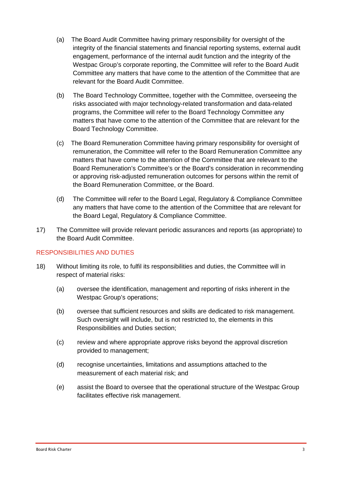- (a) The Board Audit Committee having primary responsibility for oversight of the integrity of the financial statements and financial reporting systems, external audit engagement, performance of the internal audit function and the integrity of the Westpac Group's corporate reporting, the Committee will refer to the Board Audit Committee any matters that have come to the attention of the Committee that are relevant for the Board Audit Committee.
- (b) The Board Technology Committee, together with the Committee, overseeing the risks associated with major technology-related transformation and data-related programs, the Committee will refer to the Board Technology Committee any matters that have come to the attention of the Committee that are relevant for the Board Technology Committee.
- (c) The Board Remuneration Committee having primary responsibility for oversight of remuneration, the Committee will refer to the Board Remuneration Committee any matters that have come to the attention of the Committee that are relevant to the Board Remuneration's Committee's or the Board's consideration in recommending or approving risk-adjusted remuneration outcomes for persons within the remit of the Board Remuneration Committee, or the Board.
- (d) The Committee will refer to the Board Legal, Regulatory & Compliance Committee any matters that have come to the attention of the Committee that are relevant for the Board Legal, Regulatory & Compliance Committee.
- 17) The Committee will provide relevant periodic assurances and reports (as appropriate) to the Board Audit Committee.

## RESPONSIBILITIES AND DUTIES

- 18) Without limiting its role, to fulfil its responsibilities and duties, the Committee will in respect of material risks:
	- (a) oversee the identification, management and reporting of risks inherent in the Westpac Group's operations;
	- (b) oversee that sufficient resources and skills are dedicated to risk management. Such oversight will include, but is not restricted to, the elements in this Responsibilities and Duties section;
	- (c) review and where appropriate approve risks beyond the approval discretion provided to management;
	- (d) recognise uncertainties, limitations and assumptions attached to the measurement of each material risk; and
	- (e) assist the Board to oversee that the operational structure of the Westpac Group facilitates effective risk management.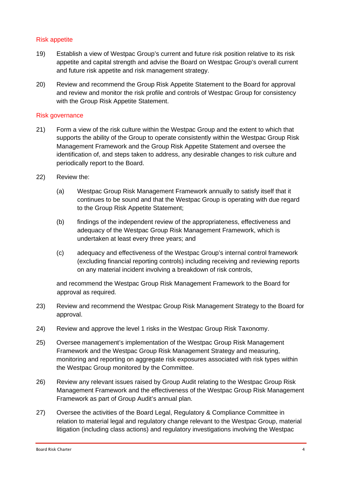## Risk appetite

- 19) Establish a view of Westpac Group's current and future risk position relative to its risk appetite and capital strength and advise the Board on Westpac Group's overall current and future risk appetite and risk management strategy.
- 20) Review and recommend the Group Risk Appetite Statement to the Board for approval and review and monitor the risk profile and controls of Westpac Group for consistency with the Group Risk Appetite Statement.

#### Risk governance

- 21) Form a view of the risk culture within the Westpac Group and the extent to which that supports the ability of the Group to operate consistently within the Westpac Group Risk Management Framework and the Group Risk Appetite Statement and oversee the identification of, and steps taken to address, any desirable changes to risk culture and periodically report to the Board.
- 22) Review the:
	- (a) Westpac Group Risk Management Framework annually to satisfy itself that it continues to be sound and that the Westpac Group is operating with due regard to the Group Risk Appetite Statement;
	- (b) findings of the independent review of the appropriateness, effectiveness and adequacy of the Westpac Group Risk Management Framework, which is undertaken at least every three years; and
	- (c) adequacy and effectiveness of the Westpac Group's internal control framework (excluding financial reporting controls) including receiving and reviewing reports on any material incident involving a breakdown of risk controls,

and recommend the Westpac Group Risk Management Framework to the Board for approval as required.

- 23) Review and recommend the Westpac Group Risk Management Strategy to the Board for approval.
- 24) Review and approve the level 1 risks in the Westpac Group Risk Taxonomy.
- 25) Oversee management's implementation of the Westpac Group Risk Management Framework and the Westpac Group Risk Management Strategy and measuring, monitoring and reporting on aggregate risk exposures associated with risk types within the Westpac Group monitored by the Committee.
- 26) Review any relevant issues raised by Group Audit relating to the Westpac Group Risk Management Framework and the effectiveness of the Westpac Group Risk Management Framework as part of Group Audit's annual plan.
- 27) Oversee the activities of the Board Legal, Regulatory & Compliance Committee in relation to material legal and regulatory change relevant to the Westpac Group, material litigation (including class actions) and regulatory investigations involving the Westpac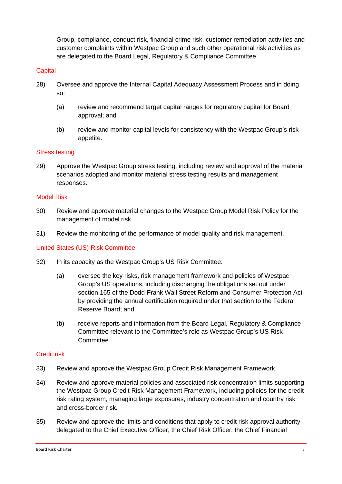Group, compliance, conduct risk, financial crime risk, customer remediation activities and customer complaints within Westpac Group and such other operational risk activities as are delegated to the Board Legal, Regulatory & Compliance Committee.

## **Capital**

- 28) Oversee and approve the Internal Capital Adequacy Assessment Process and in doing so:
	- (a) review and recommend target capital ranges for regulatory capital for Board approval; and
	- (b) review and monitor capital levels for consistency with the Westpac Group's risk appetite.

## Stress testing

29) Approve the Westpac Group stress testing, including review and approval of the material scenarios adopted and monitor material stress testing results and management responses.

#### Model Risk

- 30) Review and approve material changes to the Westpac Group Model Risk Policy for the management of model risk.
- 31) Review the monitoring of the performance of model quality and risk management.

#### United States (US) Risk Committee

- 32) In its capacity as the Westpac Group's US Risk Committee:
	- (a) oversee the key risks, risk management framework and policies of Westpac Group's US operations, including discharging the obligations set out under section 165 of the Dodd-Frank Wall Street Reform and Consumer Protection Act by providing the annual certification required under that section to the Federal Reserve Board; and
	- (b) receive reports and information from the Board Legal, Regulatory & Compliance Committee relevant to the Committee's role as Westpac Group's US Risk Committee.

#### Credit risk

- 33) Review and approve the Westpac Group Credit Risk Management Framework.
- 34) Review and approve material policies and associated risk concentration limits supporting the Westpac Group Credit Risk Management Framework, including policies for the credit risk rating system, managing large exposures, industry concentration and country risk and cross-border risk.
- 35) Review and approve the limits and conditions that apply to credit risk approval authority delegated to the Chief Executive Officer, the Chief Risk Officer, the Chief Financial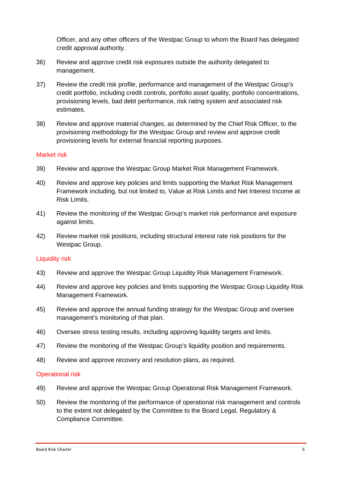Officer, and any other officers of the Westpac Group to whom the Board has delegated credit approval authority.

- 36) Review and approve credit risk exposures outside the authority delegated to management.
- 37) Review the credit risk profile, performance and management of the Westpac Group's credit portfolio, including credit controls, portfolio asset quality, portfolio concentrations, provisioning levels, bad debt performance, risk rating system and associated risk estimates.
- 38) Review and approve material changes, as determined by the Chief Risk Officer, to the provisioning methodology for the Westpac Group and review and approve credit provisioning levels for external financial reporting purposes.

#### Market risk

- 39) Review and approve the Westpac Group Market Risk Management Framework.
- 40) Review and approve key policies and limits supporting the Market Risk Management Framework including, but not limited to, Value at Risk Limits and Net Interest Income at Risk Limits.
- 41) Review the monitoring of the Westpac Group's market risk performance and exposure against limits.
- 42) Review market risk positions, including structural interest rate risk positions for the Westpac Group.

## Liquidity risk

- 43) Review and approve the Westpac Group Liquidity Risk Management Framework.
- 44) Review and approve key policies and limits supporting the Westpac Group Liquidity Risk Management Framework.
- 45) Review and approve the annual funding strategy for the Westpac Group and oversee management's monitoring of that plan.
- 46) Oversee stress testing results, including approving liquidity targets and limits.
- 47) Review the monitoring of the Westpac Group's liquidity position and requirements.
- 48) Review and approve recovery and resolution plans, as required.

#### Operational risk

- 49) Review and approve the Westpac Group Operational Risk Management Framework.
- 50) Review the monitoring of the performance of operational risk management and controls to the extent not delegated by the Committee to the Board Legal, Regulatory & Compliance Committee.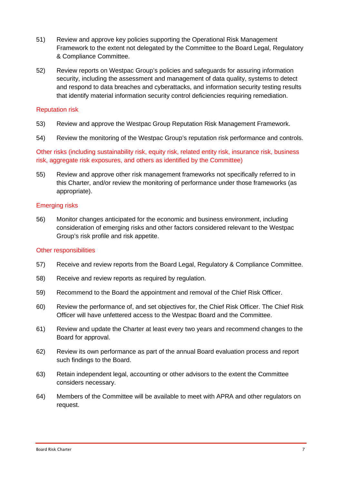- 51) Review and approve key policies supporting the Operational Risk Management Framework to the extent not delegated by the Committee to the Board Legal, Regulatory & Compliance Committee.
- 52) Review reports on Westpac Group's policies and safeguards for assuring information security, including the assessment and management of data quality, systems to detect and respond to data breaches and cyberattacks, and information security testing results that identify material information security control deficiencies requiring remediation.

## Reputation risk

- 53) Review and approve the Westpac Group Reputation Risk Management Framework.
- 54) Review the monitoring of the Westpac Group's reputation risk performance and controls.

Other risks (including sustainability risk, equity risk, related entity risk, insurance risk, business risk, aggregate risk exposures, and others as identified by the Committee)

55) Review and approve other risk management frameworks not specifically referred to in this Charter, and/or review the monitoring of performance under those frameworks (as appropriate).

#### Emerging risks

56) Monitor changes anticipated for the economic and business environment, including consideration of emerging risks and other factors considered relevant to the Westpac Group's risk profile and risk appetite.

#### Other responsibilities

- 57) Receive and review reports from the Board Legal, Regulatory & Compliance Committee.
- 58) Receive and review reports as required by regulation.
- 59) Recommend to the Board the appointment and removal of the Chief Risk Officer.
- 60) Review the performance of, and set objectives for, the Chief Risk Officer. The Chief Risk Officer will have unfettered access to the Westpac Board and the Committee.
- 61) Review and update the Charter at least every two years and recommend changes to the Board for approval.
- 62) Review its own performance as part of the annual Board evaluation process and report such findings to the Board.
- 63) Retain independent legal, accounting or other advisors to the extent the Committee considers necessary.
- 64) Members of the Committee will be available to meet with APRA and other regulators on request.